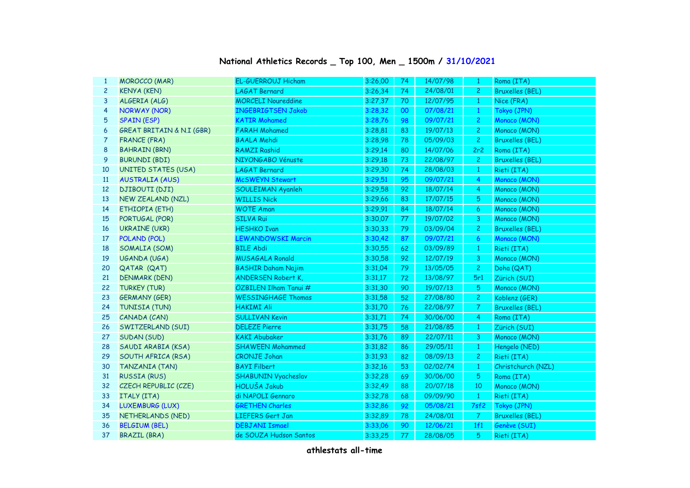## **National Athletics Records \_ Top 100, Men \_ 1500m / 31/10/2021**

| 1              | <b>MOROCCO (MAR)</b>       | <b>EL-GUERROUJ Hicham</b>  | 3:26,00 | 74 | 14/07/98 | -1               | Roma (ITA)             |
|----------------|----------------------------|----------------------------|---------|----|----------|------------------|------------------------|
| $\overline{c}$ | <b>KENYA (KEN)</b>         | <b>LAGAT Bernard</b>       | 3:26,34 | 74 | 24/08/01 | $\mathbf{2}$     | <b>Bruxelles (BEL)</b> |
| 3              | ALGERIA (ALG)              | <b>MORCELI Noureddine</b>  | 3:27,37 | 70 | 12/07/95 | $\mathbf{1}$     | Nice (FRA)             |
| 4              | <b>NORWAY (NOR)</b>        | <b>INGEBRIGTSEN Jakob</b>  | 3:28,32 | 00 | 07/08/21 | $\mathbf{1}$     | Tokyo (JPN)            |
| 5              | <b>SPAIN (ESP)</b>         | <b>KATIR Mohamed</b>       | 3:28,76 | 98 | 09/07/21 | $\overline{2}$   | Monaco (MON)           |
| 6              | GREAT BRITAIN & N.I (GBR)  | <b>FARAH Mohamed</b>       | 3:28,81 | 83 | 19/07/13 | $\mathbf{2}$     | Monaco (MON)           |
| 7              | <b>FRANCE (FRA)</b>        | <b>BAALA Mehdi</b>         | 3:28,98 | 78 | 05/09/03 | $\overline{2}$   | <b>Bruxelles (BEL)</b> |
| 8              | <b>BAHRAIN (BRN)</b>       | <b>RAMZI Rashid</b>        | 3:29,14 | 80 | 14/07/06 | 2r2              | Roma (ITA)             |
| 9              | <b>BURUNDI (BDI)</b>       | NIYONGABO Vénuste          | 3:29,18 | 73 | 22/08/97 | $\mathbf{2}$     | <b>Bruxelles (BEL)</b> |
| 10             | <b>UNITED STATES (USA)</b> | <b>LAGAT Bernard</b>       | 3:29,30 | 74 | 28/08/03 | $\mathbf{1}$     | Rieti (ITA)            |
| 11             | <b>AUSTRALIA (AUS)</b>     | <b>McSWEYN Stewart</b>     | 3:29.51 | 95 | 09/07/21 | $\overline{4}$   | Monaco (MON)           |
| 12             | <b>DJIBOUTI (DJI)</b>      | <b>SOULEIMAN Ayanleh</b>   | 3:29,58 | 92 | 18/07/14 | 4                | Monaco (MON)           |
| 13             | NEW ZEALAND (NZL)          | <b>WILLIS Nick</b>         | 3:29,66 | 83 | 17/07/15 | 5                | Monaco (MON)           |
| 14             | ETHIOPIA (ETH)             | <b>WOTE Aman</b>           | 3:29,91 | 84 | 18/07/14 | 6                | Monaco (MON)           |
| 15             | PORTUGAL (POR)             | <b>SILVA Rui</b>           | 3:30,07 | 77 | 19/07/02 | 3                | Monaco (MON)           |
| 16             | <b>UKRAINE (UKR)</b>       | <b>HESHKO Ivan</b>         | 3:30,33 | 79 | 03/09/04 | $\overline{c}$   | <b>Bruxelles (BEL)</b> |
| 17             | POLAND (POL)               | <b>LEWANDOWSKI Marcin</b>  | 3:30,42 | 87 | 09/07/21 | $\boldsymbol{6}$ | Monaco (MON)           |
| 18             | SOMALIA (SOM)              | <b>BILE Abdi</b>           | 3:30,55 | 62 | 03/09/89 | $\mathbf{1}$     | Rieti (ITA)            |
| 19             | UGANDA (UGA)               | <b>MUSAGALA Ronald</b>     | 3:30,58 | 92 | 12/07/19 | 3                | Monaco (MON)           |
| 20             | QATAR (QAT)                | <b>BASHIR Daham Najim</b>  | 3:31,04 | 79 | 13/05/05 | $\overline{c}$   | Doha (QAT)             |
| 21             | <b>DENMARK (DEN)</b>       | <b>ANDERSEN Robert K,</b>  | 3:31,17 | 72 | 13/08/97 | 5r1              | Zürich (SUI)           |
| 22             | <b>TURKEY (TUR)</b>        | ÖZBILEN Ilham Tanui #      | 3:31,30 | 90 | 19/07/13 | $\overline{5}$   | Monaco (MON)           |
| 23             | <b>GERMANY (GER)</b>       | <b>WESSINGHAGE Thomas</b>  | 3:31,58 | 52 | 27/08/80 | $\overline{2}$   | Koblenz (GER)          |
| 24             | TUNISIA (TUN)              | <b>HAKIMI Ali</b>          | 3:31,70 | 76 | 22/08/97 | $\overline{7}$   | <b>Bruxelles (BEL)</b> |
| 25             | CANADA (CAN)               | <b>SULLIVAN Kevin</b>      | 3:31,71 | 74 | 30/06/00 | $\overline{4}$   | Roma (ITA)             |
| 26             | SWITZERLAND (SUI)          | <b>DELEZE Pierre</b>       | 3:31,75 | 58 | 21/08/85 | $\mathbf{1}$     | Zürich (SUI)           |
| 27             | SUDAN (SUD)                | <b>KAKI Abubaker</b>       | 3:31,76 | 89 | 22/07/11 | 3                | Monaco (MON)           |
| 28             | SAUDI ARABIA (KSA)         | <b>SHAWEEN Mohammed</b>    | 3:31,82 | 86 | 29/05/11 | $\mathbf{1}$     | Hengelo (NED)          |
| 29             | SOUTH AFRICA (RSA)         | <b>CRONJE Johan</b>        | 3:31,93 | 82 | 08/09/13 | $\overline{c}$   | Rieti (ITA)            |
| 30             | <b>TANZANIA (TAN)</b>      | <b>BAYI Filbert</b>        | 3:32,16 | 53 | 02/02/74 | $\mathbf{1}$     | Christchurch (NZL)     |
| 31             | <b>RUSSIA (RUS)</b>        | <b>SHABUNIN Vyacheslav</b> | 3:32,28 | 69 | 30/06/00 | 5                | Roma (ITA)             |
| 32             | CZECH REPUBLIC (CZE)       | <b>HOLUŠA Jakub</b>        | 3:32,49 | 88 | 20/07/18 | 10               | Monaco (MON)           |
| 33             | ITALY (ITA)                | di NAPOLI Gennaro          | 3:32,78 | 68 | 09/09/90 | $\mathbf{1}$     | Rieti (ITA)            |
| 34             | <b>LUXEMBURG (LUX)</b>     | <b>GRETHEN Charles</b>     | 3:32,86 | 92 | 05/08/21 | 7sf2             | Tokyo (JPN)            |
| 35             | NETHERLANDS (NED)          | LIEFERS Gert Jan           | 3:32,89 | 78 | 24/08/01 | $\overline{7}$   | <b>Bruxelles (BEL)</b> |
| 36             | <b>BELGIUM (BEL)</b>       | <b>DEBJANI Ismael</b>      | 3:33,06 | 90 | 12/06/21 | 1f1              | Genève (SUI)           |
| 37             | <b>BRAZIL (BRA)</b>        | de SOUZA Hudson Santos     | 3:33,25 | 77 | 28/08/05 | 5                | Rieti (ITA)            |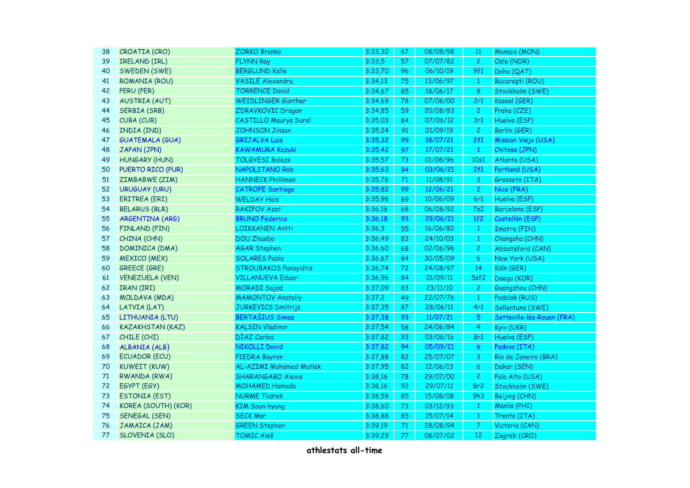| 38 | CROATIA (CRO)           | <b>ZORKO Branko</b>            | 3:33,30 | 67 | 08/08/98 | <sup>11</sup>    | Monaco (MON)               |
|----|-------------------------|--------------------------------|---------|----|----------|------------------|----------------------------|
| 39 | IRELAND (IRL)           | <b>FLYNN Ray</b>               | 3:33,5  | 57 | 07/07/82 | $\overline{2}$   | Oslo (NOR)                 |
| 40 | SWEDEN (SWE)            | <b>BERGLUND Kalle</b>          | 3:33,70 | 96 | 06/10/19 | 9f1              | Doha (QAT)                 |
| 41 | <b>ROMANIA (ROU)</b>    | <b>VASILE Alexandru</b>        | 3:34,13 | 75 | 13/06/97 | $\mathbf{1}$     | București (ROU)            |
| 42 | PERU (PER)              | <b>TORRENCE David</b>          | 3:34,67 | 85 | 18/06/17 | $\bf 8$          | Stockholm (SWE)            |
| 43 | <b>AUSTRIA (AUT)</b>    | WEIDLINGER Günther             | 3:34,69 | 78 | 07/06/00 | 2r1              | Kassel (GER)               |
| 44 | SERBIA (SRB)            | ZDRAVKOVIC Dragan              | 3:34,85 | 59 | 20/08/83 | $\overline{c}$   | Praha (CZE)                |
| 45 | CUBA (CUB)              | <b>CASTILLO Maurys Surel</b>   | 3:35,03 | 84 | 07/06/12 | 3r1              | Huelva (ESP)               |
| 46 | INDIA (IND)             | <b>JOHNSON Jinson</b>          | 3:35,24 | 91 | 01/09/19 | $\overline{2}$   | Berlin (GER)               |
| 47 | <b>GUATEMALA (GUA)</b>  | <b>GRIJALVA Luis</b>           | 3:35,32 | 99 | 18/07/21 | 2f1              | Mission Viejo (USA)        |
| 48 | JAPAN (JPN)             | <b>KAWAMURA Kazuki</b>         | 3:35,42 | 97 | 17/07/21 | $\mathbf{1}$     | Chitose (JPN)              |
| 49 | <b>HUNGARY (HUN)</b>    | <b>TÖLGYESI Balazs</b>         | 3:35,57 | 73 | 01/08/96 | 10s1             | Atlanta (USA)              |
| 50 | PUERTO RICO (PUR)       | NAPOLITANO Rob                 | 3:35,63 | 94 | 03/06/21 | 2f1              | Portland (USA)             |
| 51 | ZIMBABWE (ZIM)          | <b>HANNECK Phillimon</b>       | 3:35,76 | 71 | 11/08/91 | 3                | Grosseto (ITA)             |
| 52 | <b>URUGUAY (URU)</b>    | <b>CATROFE Santiago</b>        | 3:35,82 | 99 | 12/06/21 | $\overline{c}$   | Nice (FRA)                 |
| 53 | ERITREA (ERI)           | <b>WELDAY Hais</b>             | 3:35,96 | 89 | 10/06/09 | 6r1              | Huelva (ESP)               |
| 54 | <b>BELARUS (BLR)</b>    | <b>RAKIPOV Azat</b>            | 3:36,16 | 68 | 06/08/92 | 7s2              | Barcelona (ESP)            |
| 55 | <b>ARGENTINA (ARG)</b>  | <b>BRUNO Federico</b>          | 3:36,18 | 93 | 29/06/21 | 1f2              | Castellón (ESP)            |
| 56 | FINLAND (FIN)           | <b>LOIKKANEN Antti</b>         | 3:36,3  | 55 | 16/06/80 | $\mathbf{1}$     | Imatra (FIN)               |
| 57 | CHINA (CHN)             | <b>DOU Zhaobo</b>              | 3:36,49 | 83 | 24/10/03 | $\mathbf{1}$     | Changsha (CHN)             |
| 58 | DOMINICA (DMA)          | <b>AGAR Stephen</b>            | 3:36,60 | 68 | 02/06/96 | $\overline{c}$   | Abbotsford (CAN)           |
| 59 | <b>MEXICO (MEX)</b>     | <b>SOLARES Pablo</b>           | 3:36,67 | 84 | 30/05/09 | 6                | New York (USA)             |
| 60 | <b>GREECE (GRE)</b>     | STROUBAKOS Panayiótis          | 3:36,74 | 72 | 24/08/97 | 14               | Köln (GER)                 |
| 61 | <b>VENEZUELA (VEN)</b>  | <b>VILLANUEVA Eduar</b>        | 3:36,96 | 84 | 01/09/11 | 5sf2             | Daegu (KOR)                |
| 62 | IRAN (IRI)              | <b>MORADI Sajad</b>            | 3:37,09 | 83 | 23/11/10 | $\mathbf{2}$     | Guangzhou (CHN)            |
| 63 | MOLDAVA (MDA)           | <b>MAMONTOV Anatoliy</b>       | 3:37,2  | 49 | 22/07/76 | $\mathbf{1}$     | Podolsk (RUS)              |
| 64 | LATVIA (LAT)            | <b>JURKEVICS Dmitrijs</b>      | 3:37,35 | 87 | 28/06/11 | 4r1              | Sollentuna (SWE)           |
| 65 | LITHUANIA (LTU)         | <b>BERTAŠIUS Simas</b>         | 3:37,38 | 93 | 11/07/21 | $5\phantom{.0}$  | Sotteville-lès-Rouen (FRA) |
| 66 | <b>KAZAKHSTAN (KAZ)</b> | <b>KALSIN Vladimir</b>         | 3:37,54 | 58 | 24/06/84 | $\overline{4}$   | Kyiv (UKR)                 |
| 67 | CHILE (CHI)             | DÍAZ Carlos                    | 3:37,82 | 93 | 03/06/16 | 8r1              | Huelva (ESP)               |
| 68 | ALBANIA (ALB)           | <b>NIKOLLI David</b>           | 3:37,82 | 94 | 05/09/21 | 6                | Padova (ITA)               |
| 69 | <b>ECUADOR (ECU)</b>    | PIEDRA Bayron                  | 3:37,88 | 82 | 25/07/07 | 3                | Río de Janeiro (BRA)       |
| 70 | <b>KUWEIT (KUW)</b>     | <b>AL-AZIMI Mohamed Mutlak</b> | 3:37,95 | 82 | 12/06/13 | $\boldsymbol{6}$ | Dakar (SEN)                |
| 71 | <b>RWANDA (RWA)</b>     | <b>SHARANGABO Alexis</b>       | 3:38,16 | 78 | 29/07/00 | $\overline{c}$   | Palo Alto (USA)            |
| 72 | EGYPT (EGY)             | <b>MOHAMED Hamada</b>          | 3:38,16 | 92 | 29/07/11 | 8r2              | Stockholm (SWE)            |
| 73 | <b>ESTONIA (EST)</b>    | <b>NURME Tiidrek</b>           | 3:38,59 | 85 | 15/08/08 | 9h3              | Beijing (CHN)              |
| 74 | KOREA (SOUTH) (KOR)     | <b>KIM Soon-hyung</b>          | 3:38,60 | 73 | 03/12/93 | $\mathbf{1}$     | Manila (PHI)               |
| 75 | SENEGAL (SEN)           | <b>SECK Mor</b>                | 3:38,88 | 85 | 15/07/14 | $\mathbf{1}$     | Trento (ITA)               |
| 76 | JAMAICA (JAM)           | <b>GREEN Stephen</b>           | 3:39,19 | 71 | 28/08/94 | $\mathcal{T}$    | Victoria (CAN)             |
| 77 | SLOVENIA (SLO)          | <b>TOMIC Aleš</b>              | 3:39,29 | 77 | 08/07/02 | 12               | Zagreb (CRO)               |
|    |                         |                                |         |    |          |                  |                            |